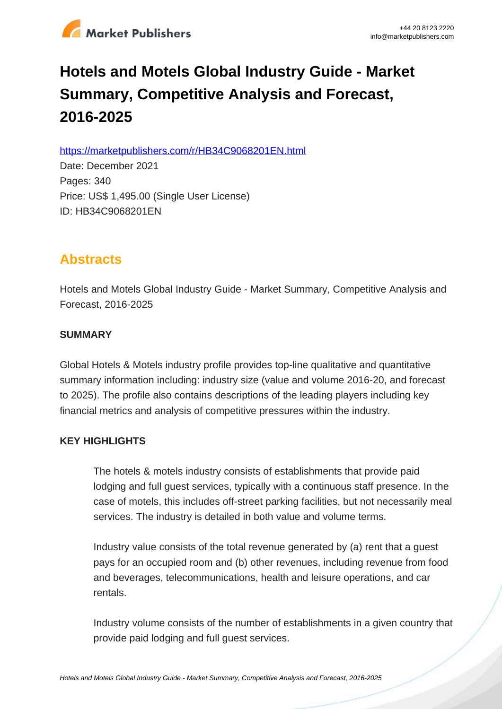

# **Hotels and Motels Global Industry Guide - Market Summary, Competitive Analysis and Forecast, 2016-2025**

https://marketpublishers.com/r/HB34C9068201EN.html

Date: December 2021 Pages: 340 Price: US\$ 1,495.00 (Single User License) ID: HB34C9068201EN

# **Abstracts**

Hotels and Motels Global Industry Guide - Market Summary, Competitive Analysis and Forecast, 2016-2025

# **SUMMARY**

Global Hotels & Motels industry profile provides top-line qualitative and quantitative summary information including: industry size (value and volume 2016-20, and forecast to 2025). The profile also contains descriptions of the leading players including key financial metrics and analysis of competitive pressures within the industry.

# **KEY HIGHLIGHTS**

The hotels & motels industry consists of establishments that provide paid lodging and full guest services, typically with a continuous staff presence. In the case of motels, this includes off-street parking facilities, but not necessarily meal services. The industry is detailed in both value and volume terms.

Industry value consists of the total revenue generated by (a) rent that a guest pays for an occupied room and (b) other revenues, including revenue from food and beverages, telecommunications, health and leisure operations, and car rentals.

Industry volume consists of the number of establishments in a given country that provide paid lodging and full guest services.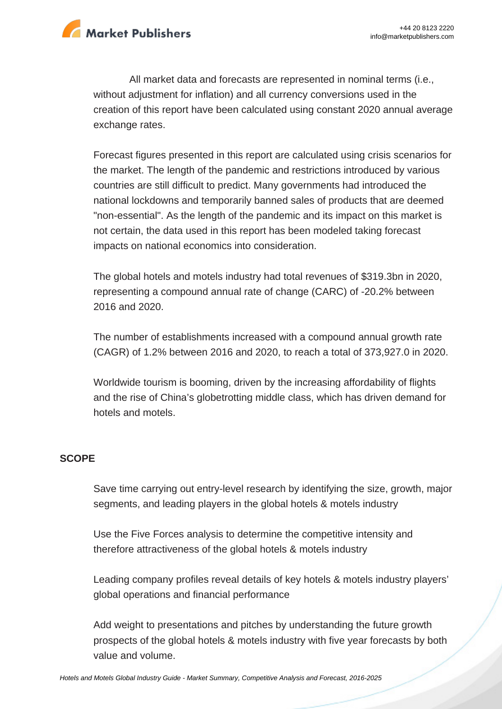

All market data and forecasts are represented in nominal terms (i.e., without adjustment for inflation) and all currency conversions used in the creation of this report have been calculated using constant 2020 annual average exchange rates.

Forecast figures presented in this report are calculated using crisis scenarios for the market. The length of the pandemic and restrictions introduced by various countries are still difficult to predict. Many governments had introduced the national lockdowns and temporarily banned sales of products that are deemed "non-essential". As the length of the pandemic and its impact on this market is not certain, the data used in this report has been modeled taking forecast impacts on national economics into consideration.

The global hotels and motels industry had total revenues of \$319.3bn in 2020, representing a compound annual rate of change (CARC) of -20.2% between 2016 and 2020.

The number of establishments increased with a compound annual growth rate (CAGR) of 1.2% between 2016 and 2020, to reach a total of 373,927.0 in 2020.

Worldwide tourism is booming, driven by the increasing affordability of flights and the rise of China's globetrotting middle class, which has driven demand for hotels and motels.

#### **SCOPE**

Save time carrying out entry-level research by identifying the size, growth, major segments, and leading players in the global hotels & motels industry

Use the Five Forces analysis to determine the competitive intensity and therefore attractiveness of the global hotels & motels industry

Leading company profiles reveal details of key hotels & motels industry players' global operations and financial performance

Add weight to presentations and pitches by understanding the future growth prospects of the global hotels & motels industry with five year forecasts by both value and volume.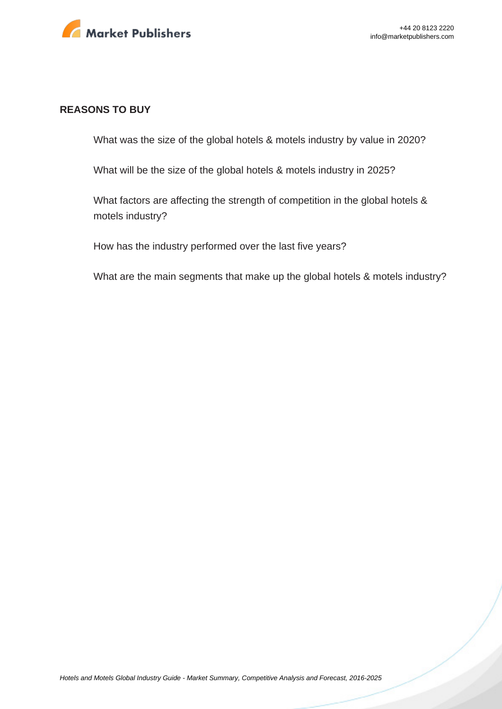

#### **REASONS TO BUY**

What was the size of the global hotels & motels industry by value in 2020?

What will be the size of the global hotels & motels industry in 2025?

What factors are affecting the strength of competition in the global hotels & motels industry?

How has the industry performed over the last five years?

What are the main segments that make up the global hotels & motels industry?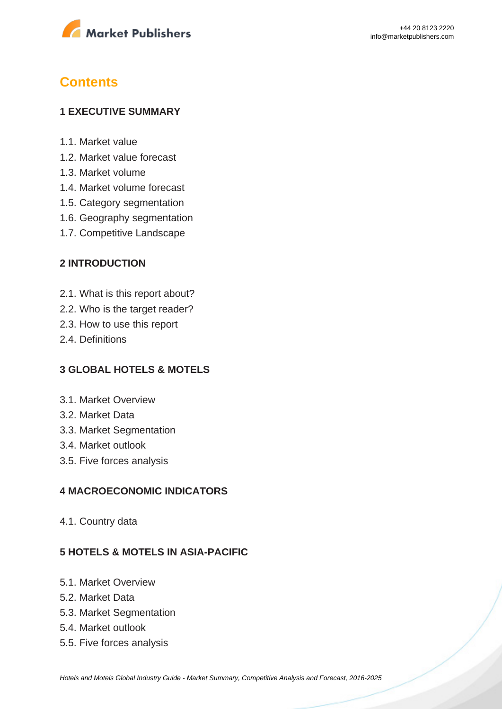

# **Contents**

#### **1 EXECUTIVE SUMMARY**

- 1.1. Market value
- 1.2. Market value forecast
- 1.3. Market volume
- 1.4. Market volume forecast
- 1.5. Category segmentation
- 1.6. Geography segmentation
- 1.7. Competitive Landscape

#### **2 INTRODUCTION**

- 2.1. What is this report about?
- 2.2. Who is the target reader?
- 2.3. How to use this report
- 2.4. Definitions

#### **3 GLOBAL HOTELS & MOTELS**

- 3.1. Market Overview
- 3.2. Market Data
- 3.3. Market Segmentation
- 3.4. Market outlook
- 3.5. Five forces analysis

#### **4 MACROECONOMIC INDICATORS**

4.1. Country data

#### **5 HOTELS & MOTELS IN ASIA-PACIFIC**

- 5.1. Market Overview
- 5.2. Market Data
- 5.3. Market Segmentation
- 5.4. Market outlook
- 5.5. Five forces analysis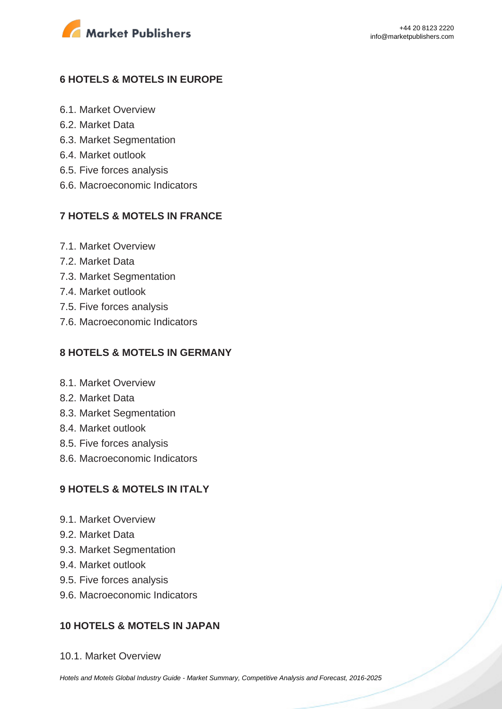

# **6 HOTELS & MOTELS IN EUROPE**

- 6.1. Market Overview
- 6.2. Market Data
- 6.3. Market Segmentation
- 6.4. Market outlook
- 6.5. Five forces analysis
- 6.6. Macroeconomic Indicators

#### **7 HOTELS & MOTELS IN FRANCE**

- 7.1. Market Overview
- 7.2. Market Data
- 7.3. Market Segmentation
- 7.4. Market outlook
- 7.5. Five forces analysis
- 7.6. Macroeconomic Indicators

#### **8 HOTELS & MOTELS IN GERMANY**

- 8.1. Market Overview
- 8.2. Market Data
- 8.3. Market Segmentation
- 8.4. Market outlook
- 8.5. Five forces analysis
- 8.6. Macroeconomic Indicators

#### **9 HOTELS & MOTELS IN ITALY**

- 9.1. Market Overview
- 9.2. Market Data
- 9.3. Market Segmentation
- 9.4. Market outlook
- 9.5. Five forces analysis
- 9.6. Macroeconomic Indicators

#### **10 HOTELS & MOTELS IN JAPAN**

10.1. Market Overview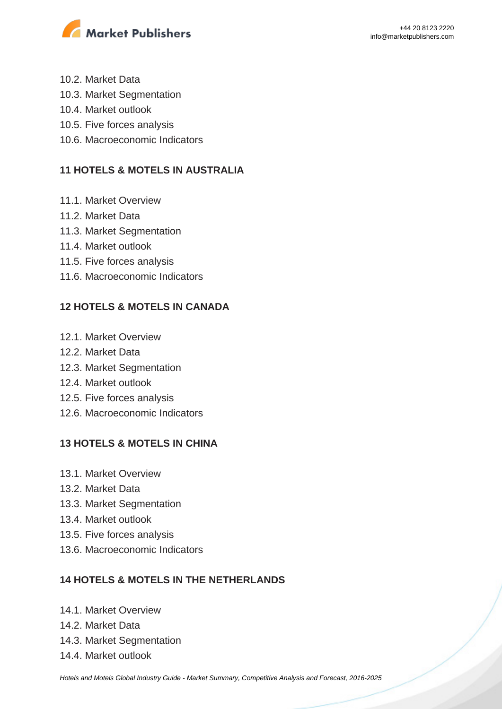

- 10.2. Market Data
- 10.3. Market Segmentation
- 10.4. Market outlook
- 10.5. Five forces analysis
- 10.6. Macroeconomic Indicators

# **11 HOTELS & MOTELS IN AUSTRALIA**

- 11.1. Market Overview
- 11.2. Market Data
- 11.3. Market Segmentation
- 11.4. Market outlook
- 11.5. Five forces analysis
- 11.6. Macroeconomic Indicators

# **12 HOTELS & MOTELS IN CANADA**

- 12.1. Market Overview
- 12.2. Market Data
- 12.3. Market Segmentation
- 12.4. Market outlook
- 12.5. Five forces analysis
- 12.6. Macroeconomic Indicators

# **13 HOTELS & MOTELS IN CHINA**

- 13.1. Market Overview
- 13.2. Market Data
- 13.3. Market Segmentation
- 13.4. Market outlook
- 13.5. Five forces analysis
- 13.6. Macroeconomic Indicators

# **14 HOTELS & MOTELS IN THE NETHERLANDS**

- 14.1. Market Overview
- 14.2. Market Data
- 14.3. Market Segmentation
- 14.4. Market outlook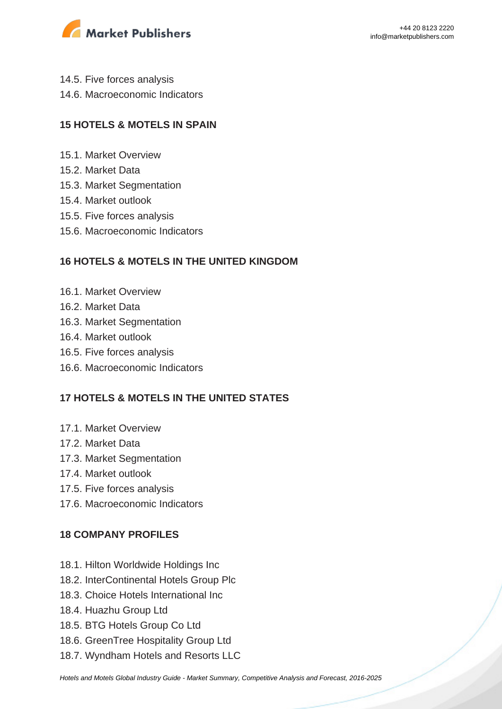

- 14.5. Five forces analysis
- 14.6. Macroeconomic Indicators

# **15 HOTELS & MOTELS IN SPAIN**

- 15.1. Market Overview
- 15.2. Market Data
- 15.3. Market Segmentation
- 15.4. Market outlook
- 15.5. Five forces analysis
- 15.6. Macroeconomic Indicators

#### **16 HOTELS & MOTELS IN THE UNITED KINGDOM**

- 16.1. Market Overview
- 16.2. Market Data
- 16.3. Market Segmentation
- 16.4. Market outlook
- 16.5. Five forces analysis
- 16.6. Macroeconomic Indicators

# **17 HOTELS & MOTELS IN THE UNITED STATES**

- 17.1. Market Overview
- 17.2. Market Data
- 17.3. Market Segmentation
- 17.4. Market outlook
- 17.5. Five forces analysis
- 17.6. Macroeconomic Indicators

# **18 COMPANY PROFILES**

- 18.1. Hilton Worldwide Holdings Inc
- 18.2. InterContinental Hotels Group Plc
- 18.3. Choice Hotels International Inc
- 18.4. Huazhu Group Ltd
- 18.5. BTG Hotels Group Co Ltd
- 18.6. GreenTree Hospitality Group Ltd
- 18.7. Wyndham Hotels and Resorts LLC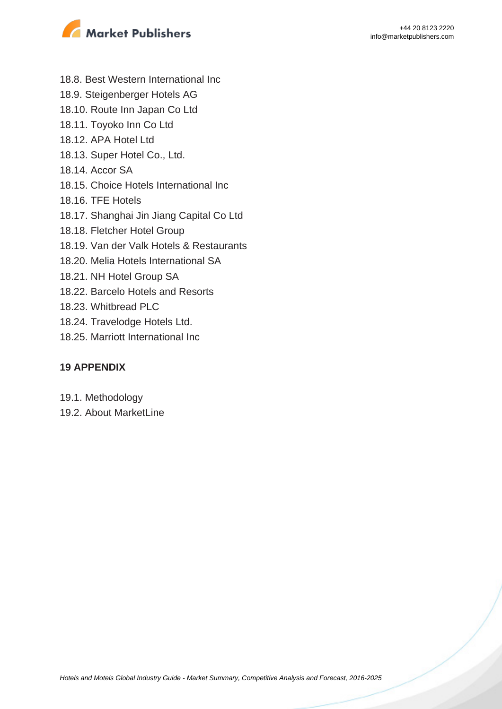



- 18.8. Best Western International Inc
- 18.9. Steigenberger Hotels AG
- 18.10. Route Inn Japan Co Ltd
- 18.11. Toyoko Inn Co Ltd
- 18.12. APA Hotel Ltd
- 18.13. Super Hotel Co., Ltd.
- 18.14. Accor SA
- 18.15. Choice Hotels International Inc
- 18.16. TFE Hotels
- 18.17. Shanghai Jin Jiang Capital Co Ltd
- 18.18. Fletcher Hotel Group
- 18.19. Van der Valk Hotels & Restaurants
- 18.20. Melia Hotels International SA
- 18.21. NH Hotel Group SA
- 18.22. Barcelo Hotels and Resorts
- 18.23. Whitbread PLC
- 18.24. Travelodge Hotels Ltd.
- 18.25. Marriott International Inc

#### **19 APPENDIX**

- 19.1. Methodology
- 19.2. About MarketLine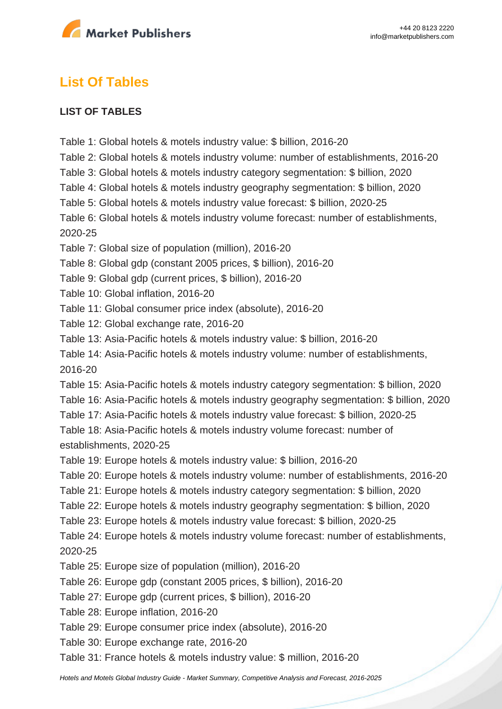

# **List Of Tables**

### **LIST OF TABLES**

Table 1: Global hotels & motels industry value: \$ billion, 2016-20 Table 2: Global hotels & motels industry volume: number of establishments, 2016-20 Table 3: Global hotels & motels industry category segmentation: \$ billion, 2020 Table 4: Global hotels & motels industry geography segmentation: \$ billion, 2020 Table 5: Global hotels & motels industry value forecast: \$ billion, 2020-25 Table 6: Global hotels & motels industry volume forecast: number of establishments, 2020-25 Table 7: Global size of population (million), 2016-20 Table 8: Global gdp (constant 2005 prices, \$ billion), 2016-20 Table 9: Global gdp (current prices, \$ billion), 2016-20 Table 10: Global inflation, 2016-20 Table 11: Global consumer price index (absolute), 2016-20 Table 12: Global exchange rate, 2016-20 Table 13: Asia-Pacific hotels & motels industry value: \$ billion, 2016-20 Table 14: Asia-Pacific hotels & motels industry volume: number of establishments, 2016-20 Table 15: Asia-Pacific hotels & motels industry category segmentation: \$ billion, 2020 Table 16: Asia-Pacific hotels & motels industry geography segmentation: \$ billion, 2020 Table 17: Asia-Pacific hotels & motels industry value forecast: \$ billion, 2020-25 Table 18: Asia-Pacific hotels & motels industry volume forecast: number of establishments, 2020-25 Table 19: Europe hotels & motels industry value: \$ billion, 2016-20 Table 20: Europe hotels & motels industry volume: number of establishments, 2016-20 Table 21: Europe hotels & motels industry category segmentation: \$ billion, 2020 Table 22: Europe hotels & motels industry geography segmentation: \$ billion, 2020 Table 23: Europe hotels & motels industry value forecast: \$ billion, 2020-25 Table 24: Europe hotels & motels industry volume forecast: number of establishments, 2020-25 Table 25: Europe size of population (million), 2016-20 Table 26: Europe gdp (constant 2005 prices, \$ billion), 2016-20 Table 27: Europe gdp (current prices, \$ billion), 2016-20 Table 28: Europe inflation, 2016-20 Table 29: Europe consumer price index (absolute), 2016-20 Table 30: Europe exchange rate, 2016-20 Table 31: France hotels & motels industry value: \$ million, 2016-20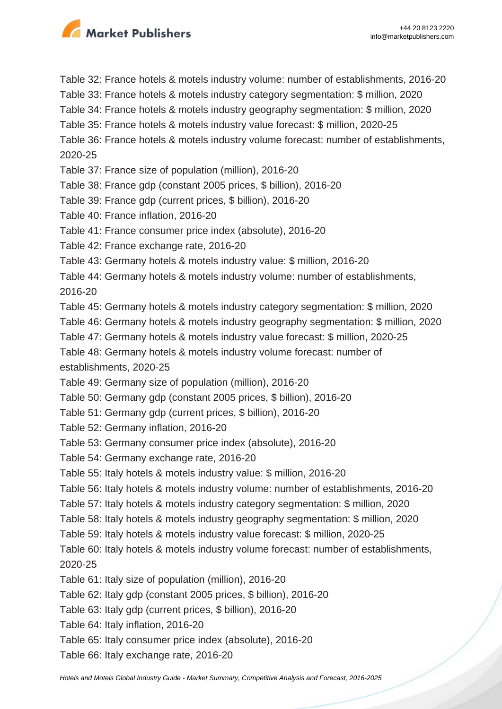

Table 32: France hotels & motels industry volume: number of establishments, 2016-20 Table 33: France hotels & motels industry category segmentation: \$ million, 2020 Table 34: France hotels & motels industry geography segmentation: \$ million, 2020 Table 35: France hotels & motels industry value forecast: \$ million, 2020-25 Table 36: France hotels & motels industry volume forecast: number of establishments, 2020-25 Table 37: France size of population (million), 2016-20 Table 38: France gdp (constant 2005 prices, \$ billion), 2016-20 Table 39: France gdp (current prices, \$ billion), 2016-20 Table 40: France inflation, 2016-20 Table 41: France consumer price index (absolute), 2016-20 Table 42: France exchange rate, 2016-20 Table 43: Germany hotels & motels industry value: \$ million, 2016-20 Table 44: Germany hotels & motels industry volume: number of establishments, 2016-20 Table 45: Germany hotels & motels industry category segmentation: \$ million, 2020 Table 46: Germany hotels & motels industry geography segmentation: \$ million, 2020 Table 47: Germany hotels & motels industry value forecast: \$ million, 2020-25 Table 48: Germany hotels & motels industry volume forecast: number of establishments, 2020-25 Table 49: Germany size of population (million), 2016-20 Table 50: Germany gdp (constant 2005 prices, \$ billion), 2016-20 Table 51: Germany gdp (current prices, \$ billion), 2016-20 Table 52: Germany inflation, 2016-20 Table 53: Germany consumer price index (absolute), 2016-20 Table 54: Germany exchange rate, 2016-20 Table 55: Italy hotels & motels industry value: \$ million, 2016-20 Table 56: Italy hotels & motels industry volume: number of establishments, 2016-20 Table 57: Italy hotels & motels industry category segmentation: \$ million, 2020 Table 58: Italy hotels & motels industry geography segmentation: \$ million, 2020 Table 59: Italy hotels & motels industry value forecast: \$ million, 2020-25 Table 60: Italy hotels & motels industry volume forecast: number of establishments, 2020-25 Table 61: Italy size of population (million), 2016-20 Table 62: Italy gdp (constant 2005 prices, \$ billion), 2016-20 Table 63: Italy gdp (current prices, \$ billion), 2016-20 Table 64: Italy inflation, 2016-20 Table 65: Italy consumer price index (absolute), 2016-20 Table 66: Italy exchange rate, 2016-20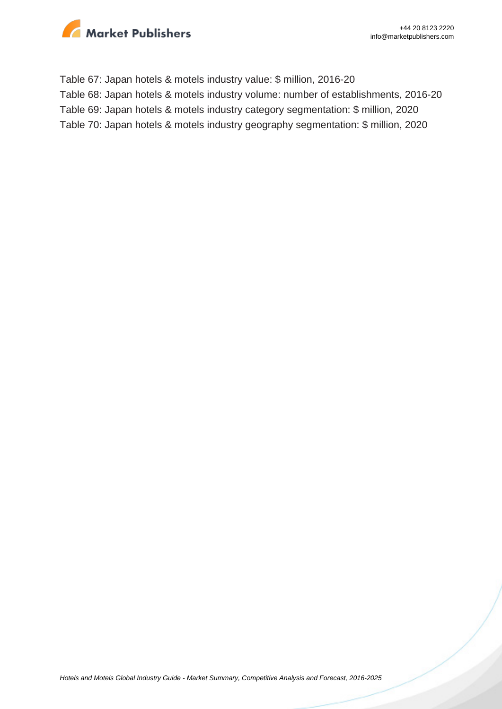

Table 67: Japan hotels & motels industry value: \$ million, 2016-20 Table 68: Japan hotels & motels industry volume: number of establishments, 2016-20 Table 69: Japan hotels & motels industry category segmentation: \$ million, 2020 Table 70: Japan hotels & motels industry geography segmentation: \$ million, 2020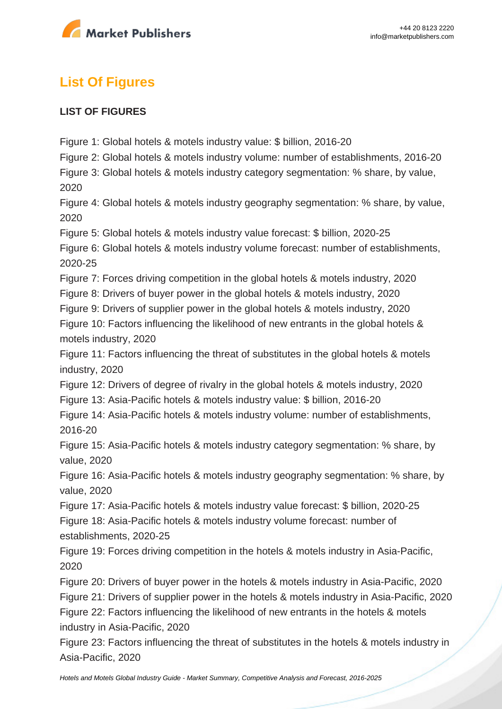

# **List Of Figures**

# **LIST OF FIGURES**

Figure 1: Global hotels & motels industry value: \$ billion, 2016-20

Figure 2: Global hotels & motels industry volume: number of establishments, 2016-20

Figure 3: Global hotels & motels industry category segmentation: % share, by value, 2020

Figure 4: Global hotels & motels industry geography segmentation: % share, by value, 2020

Figure 5: Global hotels & motels industry value forecast: \$ billion, 2020-25

Figure 6: Global hotels & motels industry volume forecast: number of establishments, 2020-25

Figure 7: Forces driving competition in the global hotels & motels industry, 2020

Figure 8: Drivers of buyer power in the global hotels & motels industry, 2020

Figure 9: Drivers of supplier power in the global hotels & motels industry, 2020

Figure 10: Factors influencing the likelihood of new entrants in the global hotels & motels industry, 2020

Figure 11: Factors influencing the threat of substitutes in the global hotels & motels industry, 2020

Figure 12: Drivers of degree of rivalry in the global hotels & motels industry, 2020

Figure 13: Asia-Pacific hotels & motels industry value: \$ billion, 2016-20

Figure 14: Asia-Pacific hotels & motels industry volume: number of establishments, 2016-20

Figure 15: Asia-Pacific hotels & motels industry category segmentation: % share, by value, 2020

Figure 16: Asia-Pacific hotels & motels industry geography segmentation: % share, by value, 2020

Figure 17: Asia-Pacific hotels & motels industry value forecast: \$ billion, 2020-25

Figure 18: Asia-Pacific hotels & motels industry volume forecast: number of establishments, 2020-25

Figure 19: Forces driving competition in the hotels & motels industry in Asia-Pacific, 2020

Figure 20: Drivers of buyer power in the hotels & motels industry in Asia-Pacific, 2020

Figure 21: Drivers of supplier power in the hotels & motels industry in Asia-Pacific, 2020

Figure 22: Factors influencing the likelihood of new entrants in the hotels & motels industry in Asia-Pacific, 2020

Figure 23: Factors influencing the threat of substitutes in the hotels & motels industry in Asia-Pacific, 2020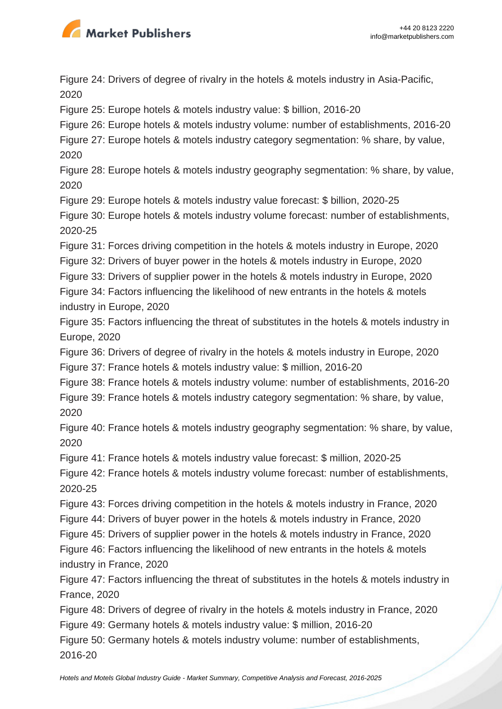

Figure 24: Drivers of degree of rivalry in the hotels & motels industry in Asia-Pacific, 2020

Figure 25: Europe hotels & motels industry value: \$ billion, 2016-20

Figure 26: Europe hotels & motels industry volume: number of establishments, 2016-20

Figure 27: Europe hotels & motels industry category segmentation: % share, by value, 2020

Figure 28: Europe hotels & motels industry geography segmentation: % share, by value, 2020

Figure 29: Europe hotels & motels industry value forecast: \$ billion, 2020-25

Figure 30: Europe hotels & motels industry volume forecast: number of establishments, 2020-25

Figure 31: Forces driving competition in the hotels & motels industry in Europe, 2020

Figure 32: Drivers of buyer power in the hotels & motels industry in Europe, 2020

Figure 33: Drivers of supplier power in the hotels & motels industry in Europe, 2020

Figure 34: Factors influencing the likelihood of new entrants in the hotels & motels industry in Europe, 2020

Figure 35: Factors influencing the threat of substitutes in the hotels & motels industry in Europe, 2020

Figure 36: Drivers of degree of rivalry in the hotels & motels industry in Europe, 2020

Figure 37: France hotels & motels industry value: \$ million, 2016-20

Figure 38: France hotels & motels industry volume: number of establishments, 2016-20

Figure 39: France hotels & motels industry category segmentation: % share, by value, 2020

Figure 40: France hotels & motels industry geography segmentation: % share, by value, 2020

Figure 41: France hotels & motels industry value forecast: \$ million, 2020-25

Figure 42: France hotels & motels industry volume forecast: number of establishments, 2020-25

Figure 43: Forces driving competition in the hotels & motels industry in France, 2020

Figure 44: Drivers of buyer power in the hotels & motels industry in France, 2020

Figure 45: Drivers of supplier power in the hotels & motels industry in France, 2020

Figure 46: Factors influencing the likelihood of new entrants in the hotels & motels industry in France, 2020

Figure 47: Factors influencing the threat of substitutes in the hotels & motels industry in France, 2020

Figure 48: Drivers of degree of rivalry in the hotels & motels industry in France, 2020 Figure 49: Germany hotels & motels industry value: \$ million, 2016-20

Figure 50: Germany hotels & motels industry volume: number of establishments,

2016-20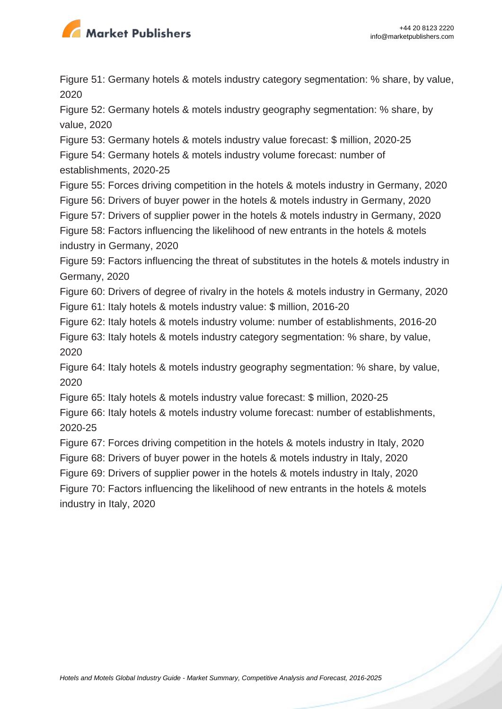

Figure 51: Germany hotels & motels industry category segmentation: % share, by value, 2020

Figure 52: Germany hotels & motels industry geography segmentation: % share, by value, 2020

Figure 53: Germany hotels & motels industry value forecast: \$ million, 2020-25

Figure 54: Germany hotels & motels industry volume forecast: number of establishments, 2020-25

Figure 55: Forces driving competition in the hotels & motels industry in Germany, 2020

Figure 56: Drivers of buyer power in the hotels & motels industry in Germany, 2020

Figure 57: Drivers of supplier power in the hotels & motels industry in Germany, 2020

Figure 58: Factors influencing the likelihood of new entrants in the hotels & motels industry in Germany, 2020

Figure 59: Factors influencing the threat of substitutes in the hotels & motels industry in Germany, 2020

Figure 60: Drivers of degree of rivalry in the hotels & motels industry in Germany, 2020 Figure 61: Italy hotels & motels industry value: \$ million, 2016-20

Figure 62: Italy hotels & motels industry volume: number of establishments, 2016-20

Figure 63: Italy hotels & motels industry category segmentation: % share, by value, 2020

Figure 64: Italy hotels & motels industry geography segmentation: % share, by value, 2020

Figure 65: Italy hotels & motels industry value forecast: \$ million, 2020-25

Figure 66: Italy hotels & motels industry volume forecast: number of establishments, 2020-25

Figure 67: Forces driving competition in the hotels & motels industry in Italy, 2020

Figure 68: Drivers of buyer power in the hotels & motels industry in Italy, 2020

Figure 69: Drivers of supplier power in the hotels & motels industry in Italy, 2020

Figure 70: Factors influencing the likelihood of new entrants in the hotels & motels industry in Italy, 2020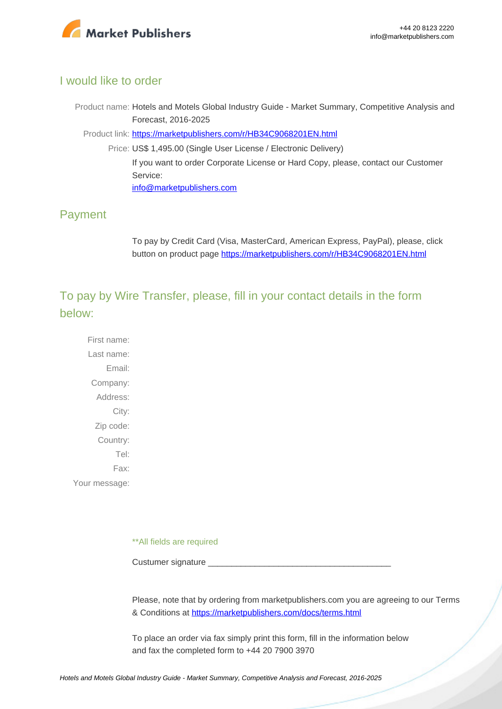

# I would like to order

Product name: Hotels and Motels Global Industry Guide - Market Summary, Competitive Analysis and Forecast, 2016-2025

Product link: [https://marketpublishers.com/r/HB34C9068201EN.html](https://marketpublishers.com/report/services/hotels/hotels-n-motels-global-industry-guide-market-summary-competitive-analysis-n-forecast-2016-2025.html)

Price: US\$ 1,495.00 (Single User License / Electronic Delivery) If you want to order Corporate License or Hard Copy, please, contact our Customer Service: [info@marketpublishers.com](mailto:info@marketpublishers.com)

# Payment

To pay by Credit Card (Visa, MasterCard, American Express, PayPal), please, click button on product page [https://marketpublishers.com/r/HB34C9068201EN.html](https://marketpublishers.com/report/services/hotels/hotels-n-motels-global-industry-guide-market-summary-competitive-analysis-n-forecast-2016-2025.html)

To pay by Wire Transfer, please, fill in your contact details in the form below:

First name: Last name: Email: Company: Address: City: Zip code: Country: Tel: Fax: Your message:

\*\*All fields are required

Custumer signature

Please, note that by ordering from marketpublishers.com you are agreeing to our Terms & Conditions at<https://marketpublishers.com/docs/terms.html>

To place an order via fax simply print this form, fill in the information below and fax the completed form to +44 20 7900 3970